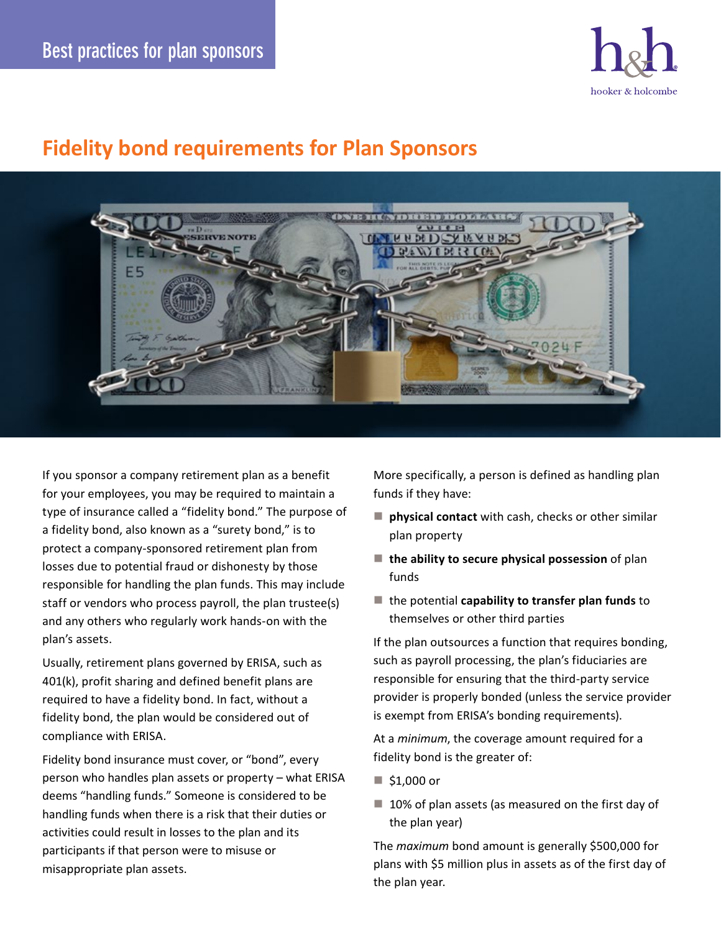

## **Fidelity bond requirements for Plan Sponsors**



If you sponsor a company retirement plan as a benefit for your employees, you may be required to maintain a type of insurance called a "fidelity bond." The purpose of a fidelity bond, also known as a "surety bond," is to protect a company-sponsored retirement plan from losses due to potential fraud or dishonesty by those responsible for handling the plan funds. This may include staff or vendors who process payroll, the plan trustee(s) and any others who regularly work hands-on with the plan's assets.

Usually, retirement plans governed by ERISA, such as 401(k), profit sharing and defined benefit plans are required to have a fidelity bond. In fact, without a fidelity bond, the plan would be considered out of compliance with ERISA.

Fidelity bond insurance must cover, or "bond", every person who handles plan assets or property – what ERISA deems "handling funds." Someone is considered to be handling funds when there is a risk that their duties or activities could result in losses to the plan and its participants if that person were to misuse or misappropriate plan assets.

More specifically, a person is defined as handling plan funds if they have:

- **physical contact** with cash, checks or other similar plan property
- **the ability to secure physical possession** of plan funds
- the potential **capability to transfer plan funds** to themselves or other third parties

If the plan outsources a function that requires bonding, such as payroll processing, the plan's fiduciaries are responsible for ensuring that the third-party service provider is properly bonded (unless the service provider is exempt from ERISA's bonding requirements).

At a *minimum*, the coverage amount required for a fidelity bond is the greater of:

- $\blacksquare$  \$1,000 or
- $\blacksquare$  10% of plan assets (as measured on the first day of the plan year)

The *maximum* bond amount is generally \$500,000 for plans with \$5 million plus in assets as of the first day of the plan year.